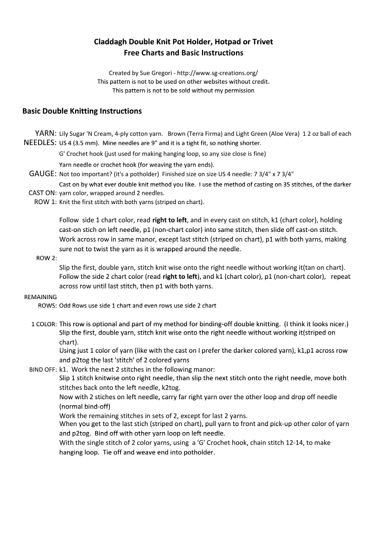# **Claddagh Double Knit Pot Holder, Hotpad or Trivet Free Charts and Basic Instructions**

Created by Sue Gregori - http://www.sg-creations.org/ This pattern is not to be used on other websites without credit. This pattern is not to be sold without my permission

### **Basic Double Knitting Instructions**

YARN: Lily Sugar 'N Cream, 4-ply cotton yarn. Brown (Terra Firma) and Light Green (Aloe Vera) 1 2 oz ball of each NEEDLES: US 4 (3.5 mm). Mine needles are 9" and it is a tight fit, so nothing shorter.

G' Crochet hook (just used for making hanging loop, so any size close is fine)

Yarn needle or crochet hook (for weaving the yarn ends).

- GAUGE: Not too important? (it's a potholder) Finished size on size US 4 needle: 7 3/4" x 7 3/4"
- Cast on by what ever double knit method you like. I use the method of casting on 35 stitches, of the darker CAST ON: yarn color, wrapped around 2 needles.

ROW 1: Knit the first stitch with both yarns (striped on chart).

Follow side 1 chart color, read **right to left**, and in every cast on stitch, k1 (chart color), holding cast-on stich on left needle, p1 (non-chart color) into same stitch, then slide off cast-on stitch. Work across row in same manor, except last stitch (striped on chart), p1 with both yarns, making sure not to twist the yarn as it is wrapped around the needle.

ROW 2:

Slip the first, double yarn, stitch knit wise onto the right needle without working it(tan on chart). Follow the side 2 chart color (read **right to left**), and k1 (chart color), p1 (non-chart color), repeat across row until last stitch, then p1 with both yarns.

#### REMAINING

ROWS: Odd Rows use side 1 chart and even rows use side 2 chart

1 COLOR: This row is optional and part of my method for binding-off double knitting. (I think it looks nicer.) Slip the first, double yarn, stitch knit wise onto the right needle without working it(striped on chart).

Using just 1 color of yarn (like with the cast on I prefer the darker colored yarn), k1,p1 across row and p2tog the last 'stitch' of 2 colored yarns

BIND OFF: k1. Work the next 2 stitches in the following manor:

Slip 1 stitch knitwise onto right needle, than slip the next stitch onto the right needle, move both stitches back onto the left needle, k2tog.

Now with 2 stiches on left needle, carry far right yarn over the other loop and drop off needle (normal bind-off)

Work the remaining stitches in sets of 2, except for last 2 yarns.

When you get to the last stich (striped on chart), pull yarn to front and pick-up other color of yarn and p2tog. Bind off with other yarn loop on left needle.

With the single stitch of 2 color yarns, using a 'G' Crochet hook, chain stitch 12-14, to make hanging loop. Tie off and weave end into potholder.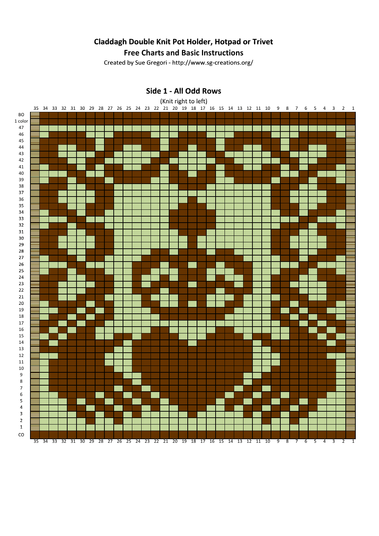# **Claddagh Double Knit Pot Holder, Hotpad or Trivet**

## **Free Charts and Basic Instructions**

Created by Sue Gregori - http://www.sg-creations.org/